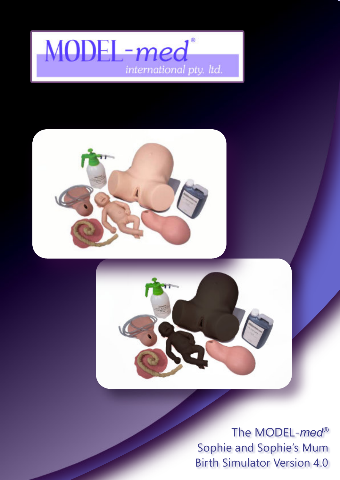# MODEL-med international pty. Itd.



The MODEL-*med®* Sophie and Sophie's Mum Birth Simulator Version 4.0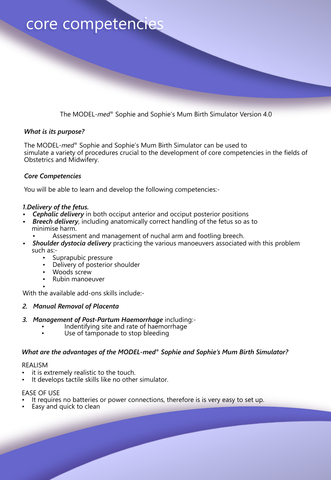### core competencies

The MODEL-*med*® Sophie and Sophie's Mum Birth Simulator Version 4.0

### *What is its purpose?*

The MODEL-*med*® Sophie and Sophie's Mum Birth Simulator can be used to simulate a variety of procedures crucial to the development of core competencies in the fields of Obstetrics and Midwifery.

### *Core Competencies*

You will be able to learn and develop the following competencies:-

### *1.Delivery of the fetus.*

- *Cephalic delivery* in both occiput anterior and occiput posterior positions
- *Breech delivery*, including anatomically correct handling of the fetus so as to minimise harm.
	- Assessment and management of nuchal arm and footling breech.
- *Shoulder dystocia delivery* practicing the various manoeuvers associated with this problem such as:-
	- Suprapubic pressure
	- Delivery of posterior shoulder
	- Woods screw
	- Rubin manoeuver

• With the available add-ons skills include:-

### *2. Manual Removal of Placenta*

- *3. Management of Post-Partum Haemorrhage* including:-
	- Indentifying site and rate of haemorrhage
	- Use of tamponade to stop bleeding

### *What are the advantages of the MODEL-med® Sophie and Sophie's Mum Birth Simulator?*

#### REALISM

- it is extremely realistic to the touch.
- It develops tactile skills like no other simulator.

### EASE OF USE

- It requires no batteries or power connections, therefore is is very easy to set up.
- Easy and quick to clean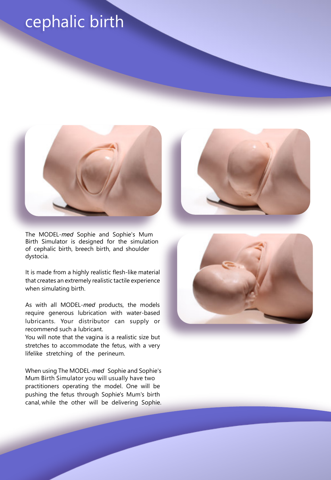## cephalic birth



The MODEL-*med* Sophie and Sophie's Mum Birth Simulator is designed for the simulation of cephalic birth, breech birth, and shoulder dystocia.

It is made from a highly realistic flesh-like material that creates an extremely realistic tactile experience when simulating birth.

As with all MODEL-*med* products, the models require generous lubrication with water-based lubricants. Your distributor can supply or recommend such a lubricant.

You will note that the vagina is a realistic size but stretches to accommodate the fetus, with a very lifelike stretching of the perineum.

When using The MODEL-*med* Sophie and Sophie's Mum Birth Simulator you will usually have two practitioners operating the model. One will be pushing the fetus through Sophie's Mum's birth canal, while the other will be delivering Sophie.



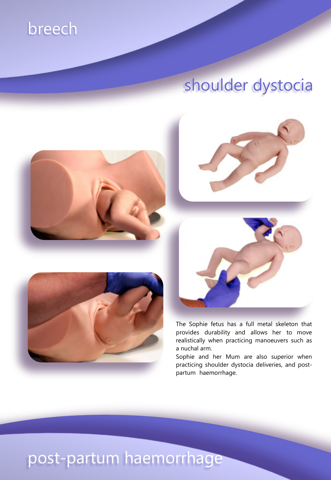## breech

# shoulder dystocia







The Sophie fetus has a full metal skeleton that provides durability and allows her to move realistically when practicing manoeuvers such as a nuchal arm.

Sophie and her Mum are also superior when practicing shoulder dystocia deliveries, and postpartum haemorrhage.

# post-partum haemorrhage